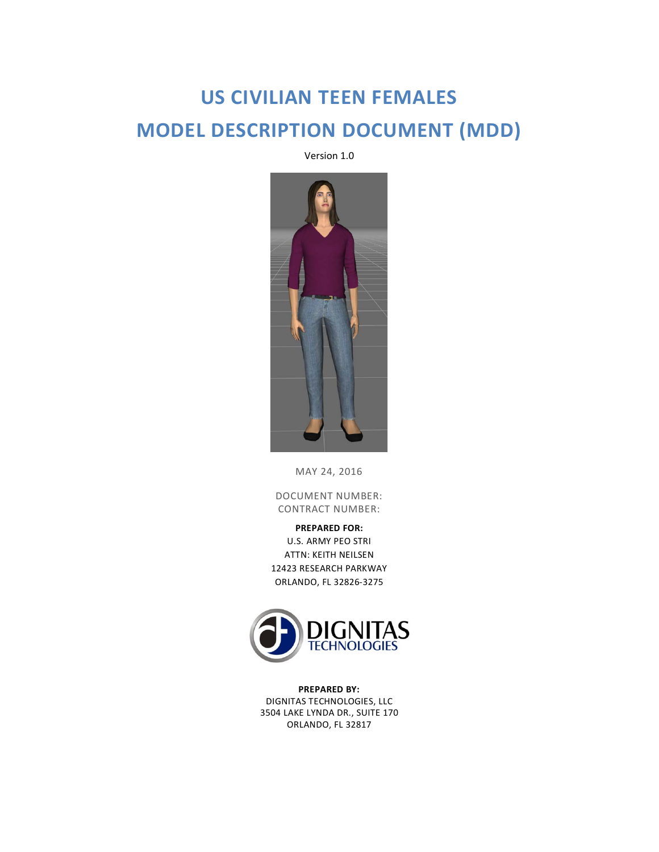# **US CIVILIAN TEEN FEMALES MODEL DESCRIPTION DOCUMENT (MDD)**

Version 1.0



MAY 24, 2016

DOCUMENT NUMBER: CONTRACT NUMBER:

**PREPARED FOR:** U.S. ARMY PEO STRI ATTN: KEITH NEILSEN 12423 RESEARCH PARKWAY ORLANDO, FL 32826-3275



**PREPARED BY:** DIGNITAS TECHNOLOGIES, LLC 3504 LAKE LYNDA DR., SUITE 170 ORLANDO, FL 32817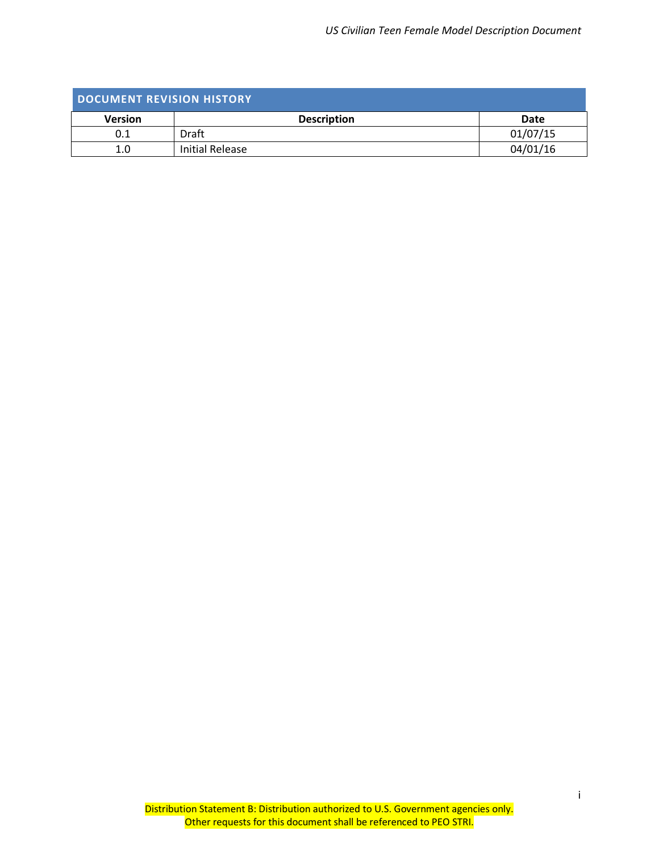<span id="page-1-0"></span>

| DOCUMENT REVISION HISTORY |                    |          |
|---------------------------|--------------------|----------|
| <b>Version</b>            | <b>Description</b> | Date     |
| 0.1                       | Draft              | 01/07/15 |
| 1.0                       | Initial Release    | 04/01/16 |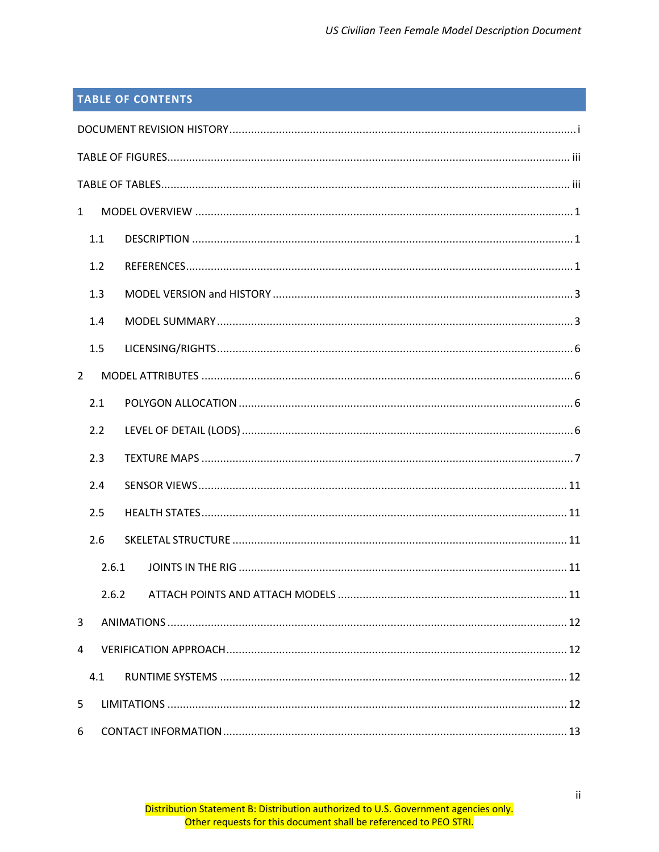# **TABLE OF CONTENTS**

| $\mathbf{1}$   |       |  |
|----------------|-------|--|
| 1.1            |       |  |
| 1.2            |       |  |
| 1.3            |       |  |
| 1.4            |       |  |
| 1.5            |       |  |
| $\overline{2}$ |       |  |
| 2.1            |       |  |
| 2.2            |       |  |
| 2.3            |       |  |
| 2.4            |       |  |
| 2.5            |       |  |
| 2.6            |       |  |
|                | 2.6.1 |  |
|                | 2.6.2 |  |
| 3              |       |  |
| 4              |       |  |
| 4.1            |       |  |
| 5              |       |  |
| 6              |       |  |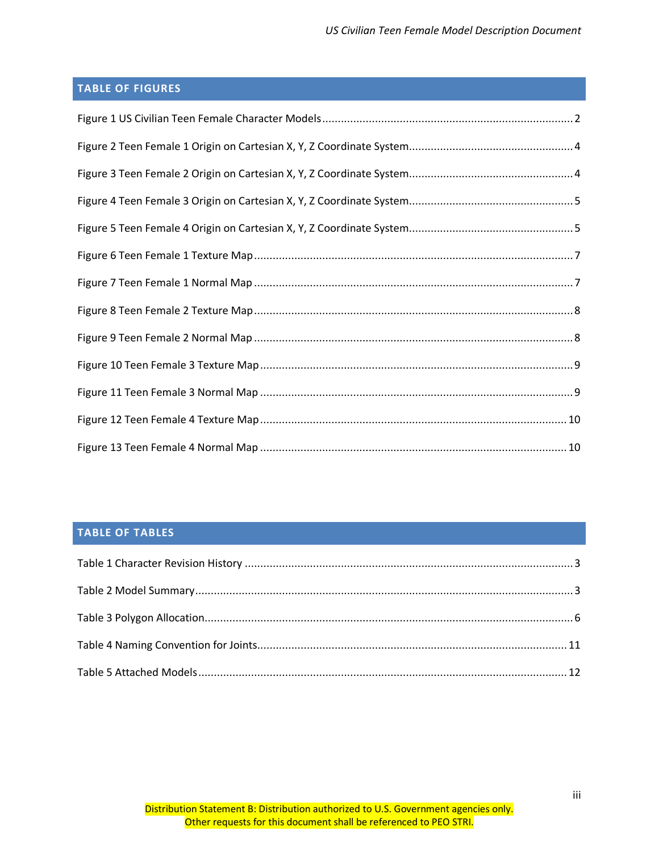# <span id="page-3-0"></span>**TABLE OF FIGURES**

# <span id="page-3-1"></span>**TABLE OF TABLES**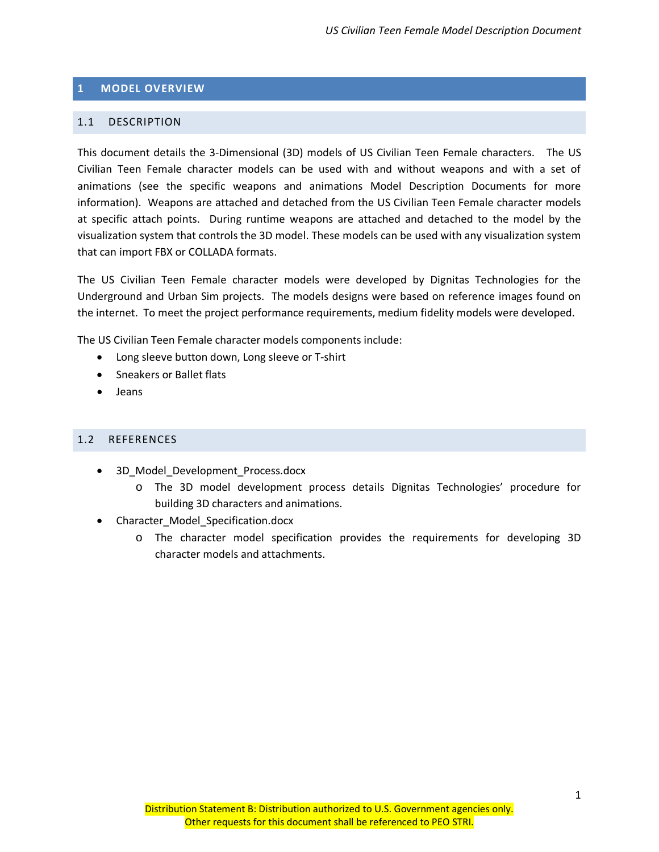#### <span id="page-4-0"></span>**1 MODEL OVERVIEW**

#### <span id="page-4-1"></span>1.1 DESCRIPTION

This document details the 3-Dimensional (3D) models of US Civilian Teen Female characters. The US Civilian Teen Female character models can be used with and without weapons and with a set of animations (see the specific weapons and animations Model Description Documents for more information). Weapons are attached and detached from the US Civilian Teen Female character models at specific attach points. During runtime weapons are attached and detached to the model by the visualization system that controls the 3D model. These models can be used with any visualization system that can import FBX or COLLADA formats.

The US Civilian Teen Female character models were developed by Dignitas Technologies for the Underground and Urban Sim projects. The models designs were based on reference images found on the internet. To meet the project performance requirements, medium fidelity models were developed.

The US Civilian Teen Female character models components include:

- Long sleeve button down, Long sleeve or T-shirt
- Sneakers or Ballet flats
- Jeans

#### <span id="page-4-2"></span>1.2 REFERENCES

- 3D Model Development Process.docx
	- o The 3D model development process details Dignitas Technologies' procedure for building 3D characters and animations.
- Character\_Model\_Specification.docx
	- o The character model specification provides the requirements for developing 3D character models and attachments.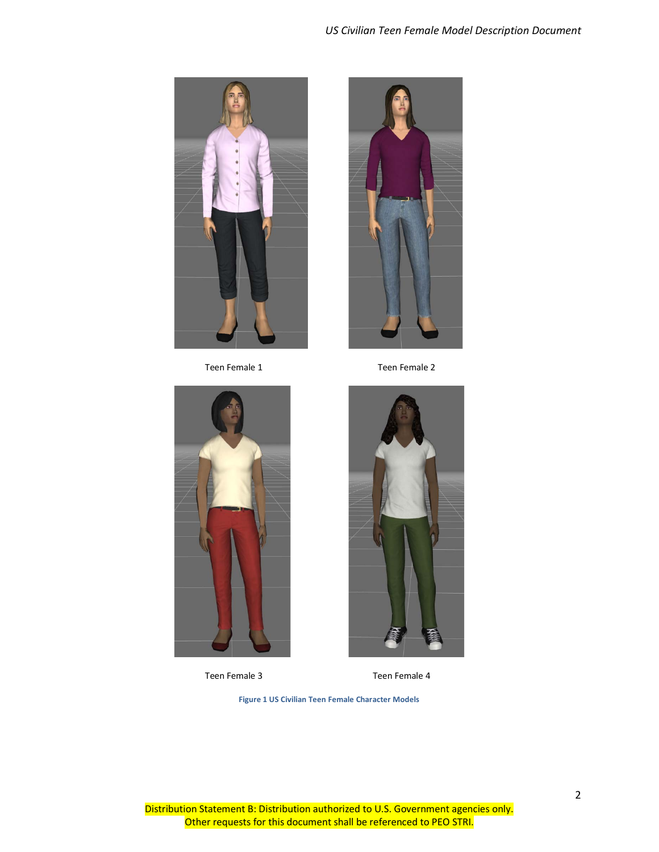## *US Civilian Teen Female Model Description Document*

<span id="page-5-0"></span>Teen Female 3 Teen Female 4

**Figure 1 US Civilian Teen Female Character Models**





2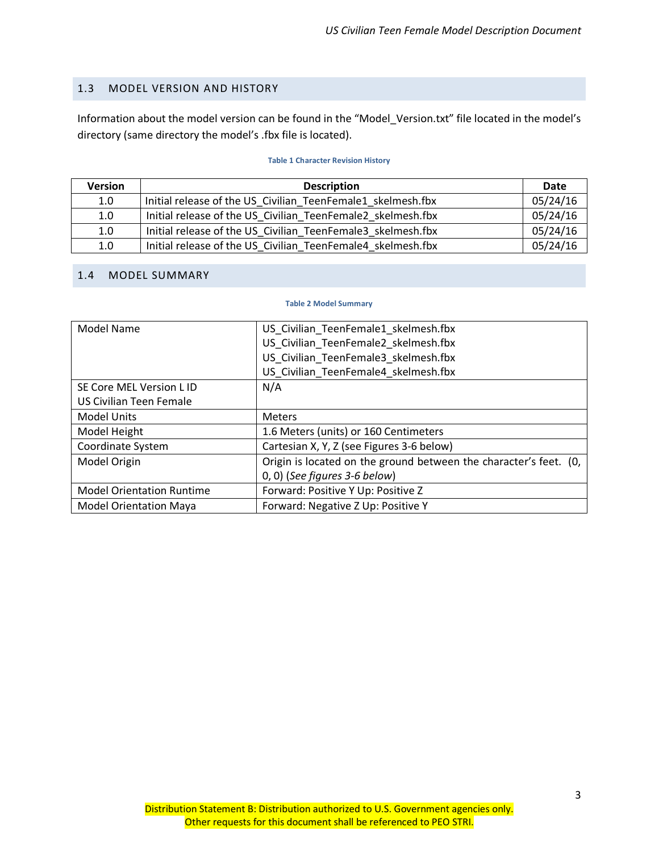#### <span id="page-6-0"></span>1.3 MODEL VERSION AND HISTORY

Information about the model version can be found in the "Model\_Version.txt" file located in the model's directory (same directory the model's .fbx file is located).

#### **Table 1 Character Revision History**

<span id="page-6-2"></span>

| <b>Version</b> | <b>Description</b>                                          | Date     |
|----------------|-------------------------------------------------------------|----------|
| 1.0            | Initial release of the US Civilian TeenFemale1 skelmesh.fbx | 05/24/16 |
| 1.0            | Initial release of the US Civilian TeenFemale2 skelmesh.fbx | 05/24/16 |
| 1.0            | Initial release of the US Civilian TeenFemale3 skelmesh.fbx | 05/24/16 |
| 1.0            | Initial release of the US Civilian TeenFemale4 skelmesh.fbx | 05/24/16 |

#### <span id="page-6-3"></span><span id="page-6-1"></span>1.4 MODEL SUMMARY

#### **Table 2 Model Summary**

| Model Name                       | US Civilian TeenFemale1 skelmesh.fbx                              |  |
|----------------------------------|-------------------------------------------------------------------|--|
|                                  | US_Civilian_TeenFemale2_skelmesh.fbx                              |  |
|                                  | US Civilian TeenFemale3 skelmesh.fbx                              |  |
|                                  | US_Civilian_TeenFemale4_skelmesh.fbx                              |  |
| SE Core MEL Version L ID         | N/A                                                               |  |
| US Civilian Teen Female          |                                                                   |  |
| <b>Model Units</b>               | <b>Meters</b>                                                     |  |
| Model Height                     | 1.6 Meters (units) or 160 Centimeters                             |  |
| Coordinate System                | Cartesian X, Y, Z (see Figures 3-6 below)                         |  |
| Model Origin                     | Origin is located on the ground between the character's feet. (0, |  |
|                                  | $(0, 0)$ (See figures 3-6 below)                                  |  |
| <b>Model Orientation Runtime</b> | Forward: Positive Y Up: Positive Z                                |  |
| <b>Model Orientation Maya</b>    | Forward: Negative Z Up: Positive Y                                |  |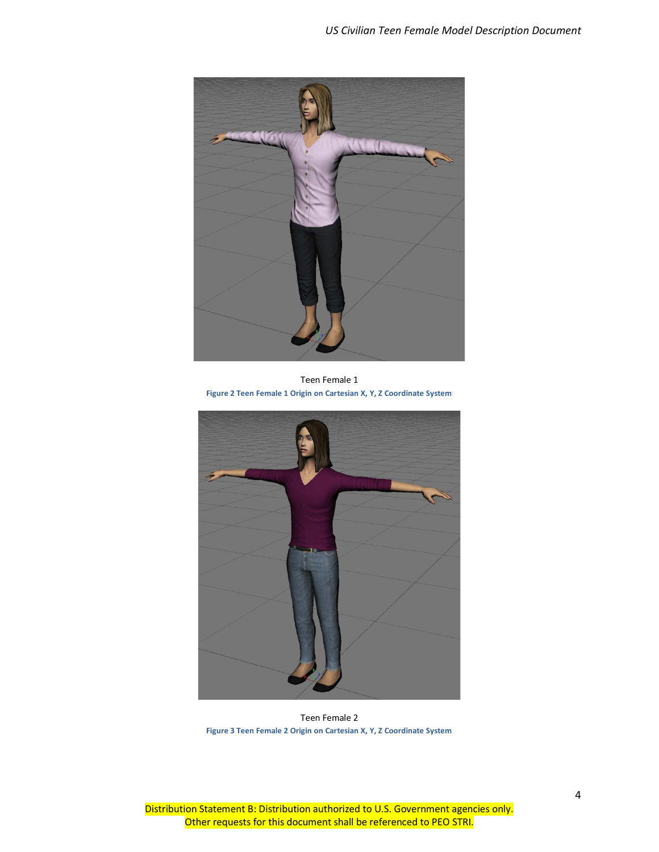

Teen Female 1 **Figure 2 Teen Female 1 Origin on Cartesian X, Y, Z Coordinate System**

<span id="page-7-1"></span><span id="page-7-0"></span>

Teen Female 2 **Figure 3 Teen Female 2 Origin on Cartesian X, Y, Z Coordinate System**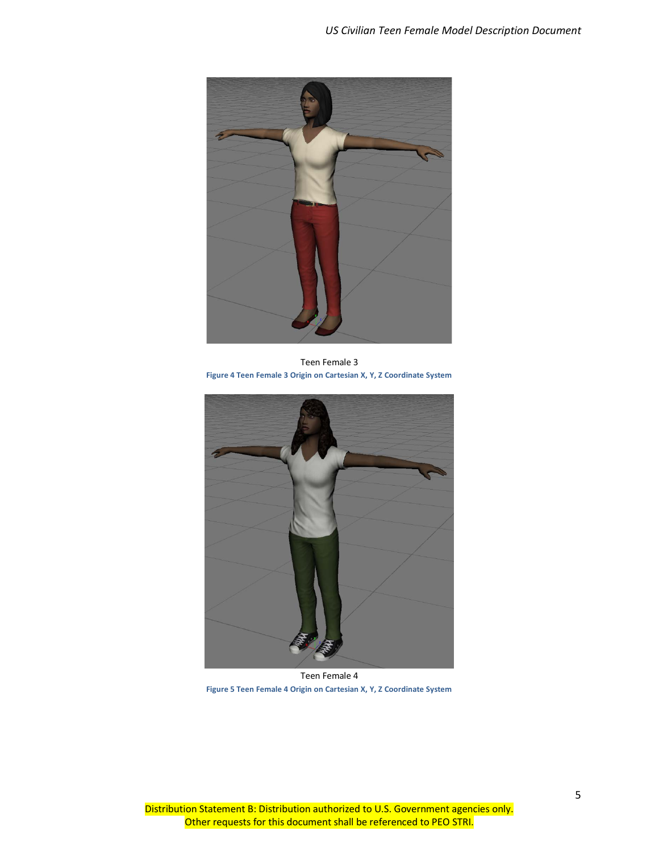

Teen Female 3 **Figure 4 Teen Female 3 Origin on Cartesian X, Y, Z Coordinate System**

<span id="page-8-1"></span><span id="page-8-0"></span>

Teen Female 4 **Figure 5 Teen Female 4 Origin on Cartesian X, Y, Z Coordinate System**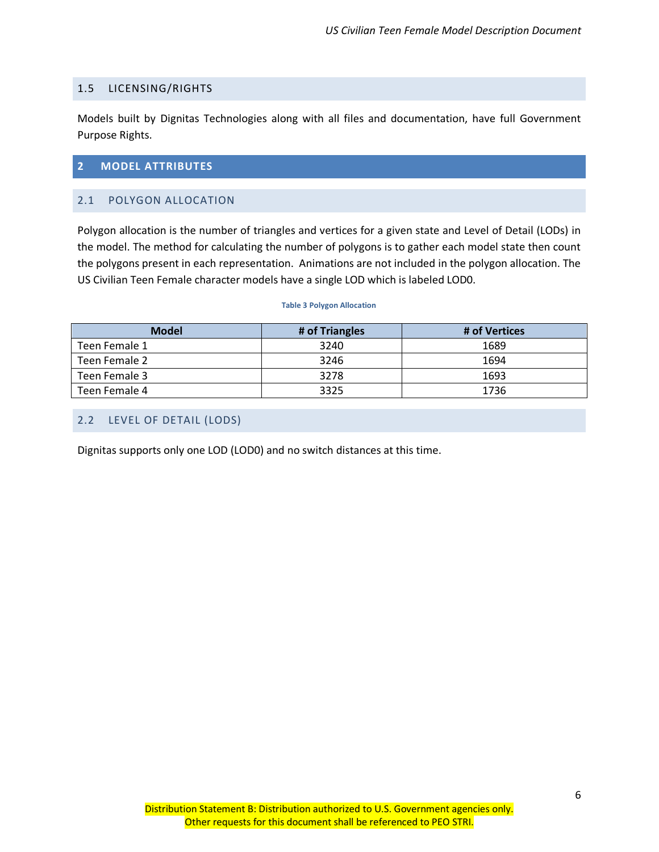## <span id="page-9-0"></span>1.5 LICENSING/RIGHTS

Models built by Dignitas Technologies along with all files and documentation, have full Government Purpose Rights.

## <span id="page-9-1"></span>**2 MODEL ATTRIBUTES**

## <span id="page-9-2"></span>2.1 POLYGON ALLOCATION

Polygon allocation is the number of triangles and vertices for a given state and Level of Detail (LODs) in the model. The method for calculating the number of polygons is to gather each model state then count the polygons present in each representation. Animations are not included in the polygon allocation. The US Civilian Teen Female character models have a single LOD which is labeled LOD0.

#### **Table 3 Polygon Allocation**

<span id="page-9-4"></span>

| <b>Model</b>  | # of Triangles | # of Vertices |
|---------------|----------------|---------------|
| Teen Female 1 | 3240           | 1689          |
| Teen Female 2 | 3246           | 1694          |
| Teen Female 3 | 3278           | 1693          |
| Teen Female 4 | 3325           | 1736          |

# <span id="page-9-3"></span>2.2 LEVEL OF DETAIL (LODS)

Dignitas supports only one LOD (LOD0) and no switch distances at this time.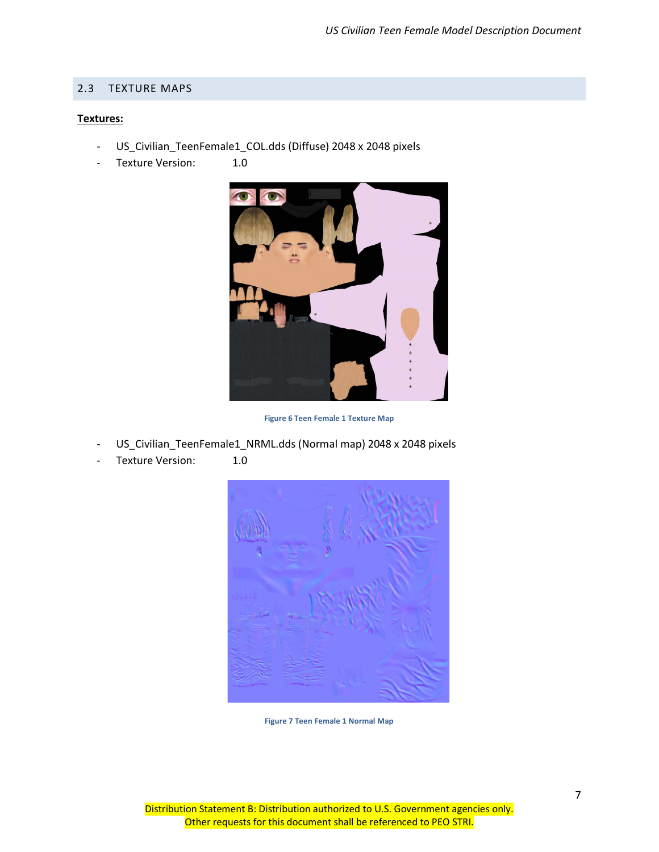#### <span id="page-10-0"></span>2.3 TEXTURE MAPS

#### **Textures:**

- US\_Civilian\_TeenFemale1\_COL.dds (Diffuse) 2048 x 2048 pixels
- Texture Version: 1.0



**Figure 6 Teen Female 1 Texture Map**

- <span id="page-10-1"></span>US\_Civilian\_TeenFemale1\_NRML.dds (Normal map) 2048 x 2048 pixels
- <span id="page-10-2"></span>Texture Version: 1.0



**Figure 7 Teen Female 1 Normal Map**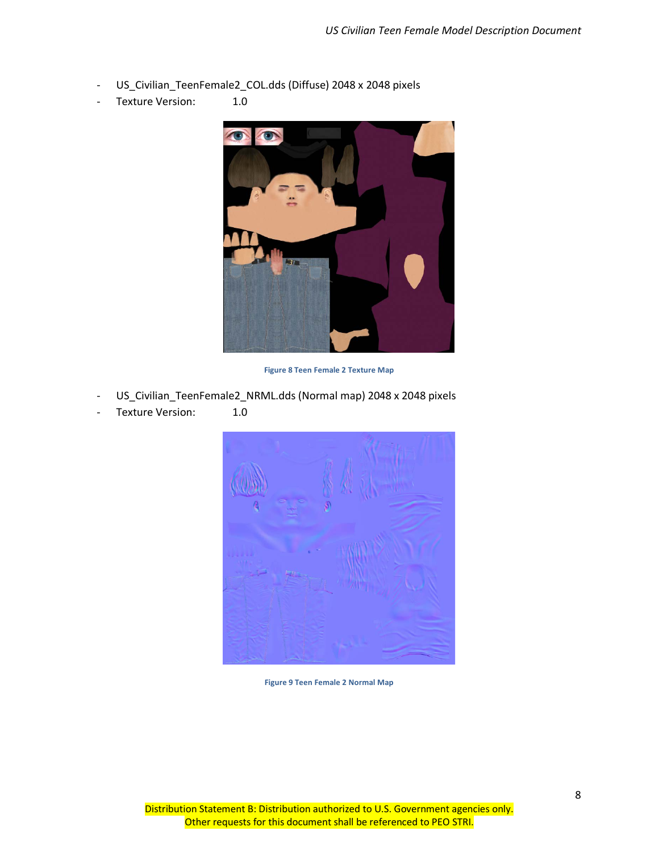- US\_Civilian\_TeenFemale2\_COL.dds (Diffuse) 2048 x 2048 pixels
- Texture Version: 1.0



**Figure 8 Teen Female 2 Texture Map**

- <span id="page-11-0"></span>US\_Civilian\_TeenFemale2\_NRML.dds (Normal map) 2048 x 2048 pixels
- Texture Version: 1.0



<span id="page-11-1"></span>**Figure 9 Teen Female 2 Normal Map**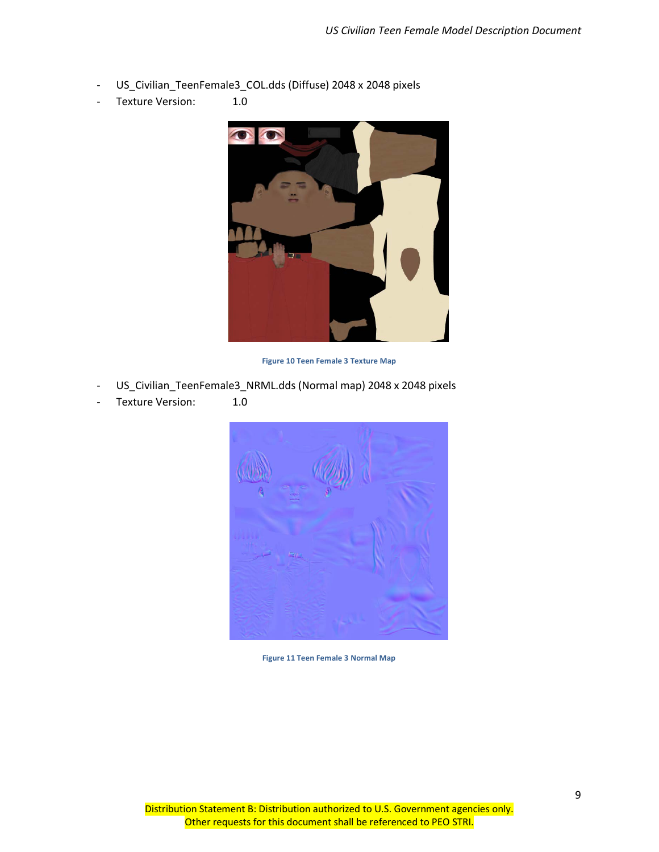- US\_Civilian\_TeenFemale3\_COL.dds (Diffuse) 2048 x 2048 pixels
- Texture Version: 1.0



**Figure 10 Teen Female 3 Texture Map**

- <span id="page-12-0"></span>US\_Civilian\_TeenFemale3\_NRML.dds (Normal map) 2048 x 2048 pixels
- <span id="page-12-1"></span>- Texture Version: 1.0



**Figure 11 Teen Female 3 Normal Map**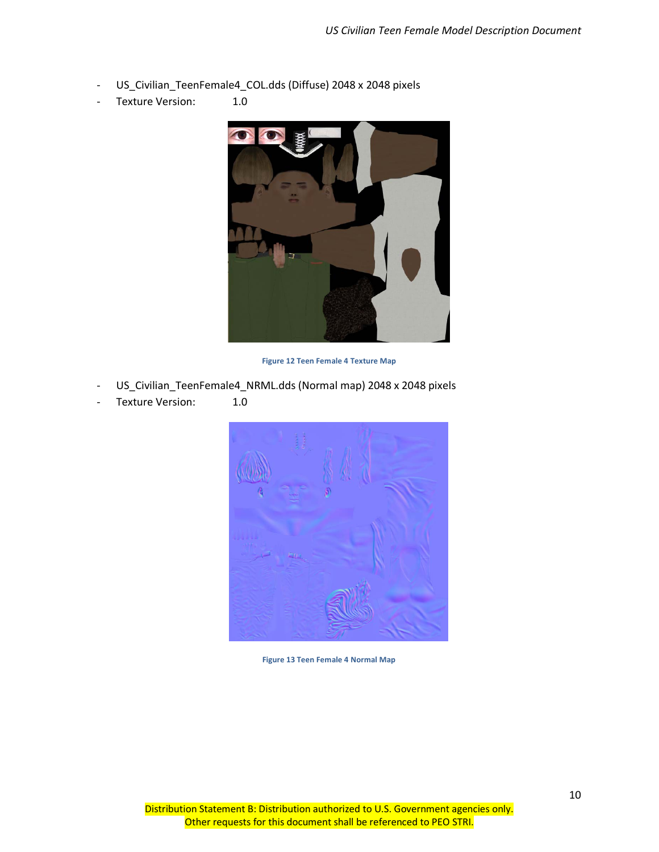- US\_Civilian\_TeenFemale4\_COL.dds (Diffuse) 2048 x 2048 pixels
- Texture Version: 1.0



**Figure 12 Teen Female 4 Texture Map**

- <span id="page-13-0"></span>US\_Civilian\_TeenFemale4\_NRML.dds (Normal map) 2048 x 2048 pixels
- <span id="page-13-1"></span>- Texture Version: 1.0



**Figure 13 Teen Female 4 Normal Map**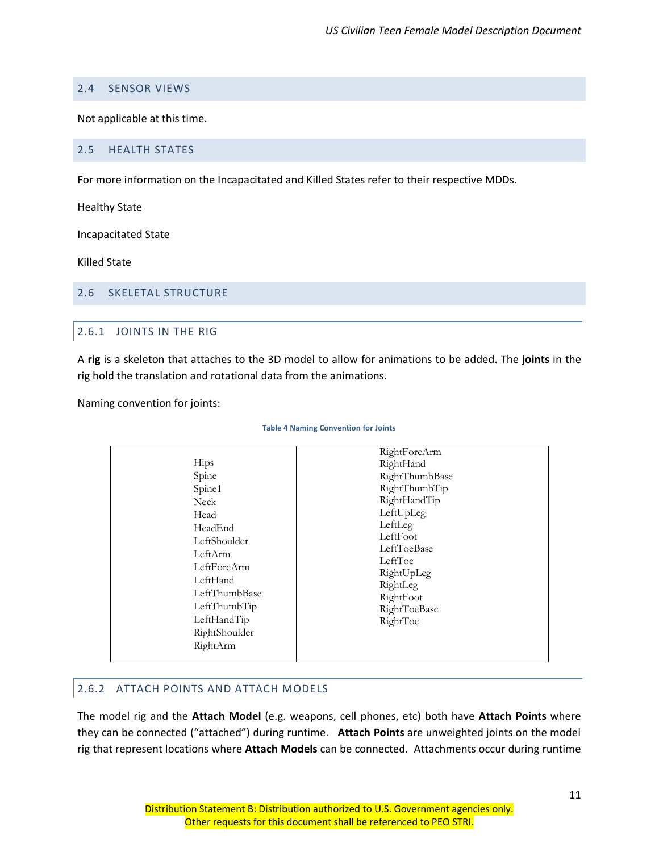## <span id="page-14-0"></span>2.4 SENSOR VIEWS

Not applicable at this time.

#### <span id="page-14-1"></span>2.5 HEALTH STATES

For more information on the Incapacitated and Killed States refer to their respective MDDs.

Healthy State

Incapacitated State

Killed State

#### <span id="page-14-3"></span><span id="page-14-2"></span>2.6 SKELETAL STRUCTURE

## 2.6.1 JOINTS IN THE RIG

A **rig** is a skeleton that attaches to the 3D model to allow for animations to be added. The **joints** in the rig hold the translation and rotational data from the animations.

<span id="page-14-5"></span>Naming convention for joints:

#### **Table 4 Naming Convention for Joints**

| Hips<br>Spine                                                                                                                                                        | RightForeArm<br>RightHand<br>RightThumbBase                                                                                                                    |
|----------------------------------------------------------------------------------------------------------------------------------------------------------------------|----------------------------------------------------------------------------------------------------------------------------------------------------------------|
| Spine1<br>Neck<br>Head<br>HeadEnd<br>LeftShoulder<br>LeftArm<br>LeftForeArm<br>LeftHand<br>LeftThumbBase<br>LeftThumbTip<br>LeftHandTip<br>RightShoulder<br>RightArm | RightThumbTip<br>RightHandTip<br>LeftUpLeg<br>LeftLeg<br>LeftFoot<br>LeftToeBase<br>LeftToe<br>RightUpLeg<br>RightLeg<br>RightFoot<br>RightToeBase<br>RightToe |

## <span id="page-14-4"></span>2.6.2 ATTACH POINTS AND ATTACH MODELS

The model rig and the **Attach Model** (e.g. weapons, cell phones, etc) both have **Attach Points** where they can be connected ("attached") during runtime. **Attach Points** are unweighted joints on the model rig that represent locations where **Attach Models** can be connected. Attachments occur during runtime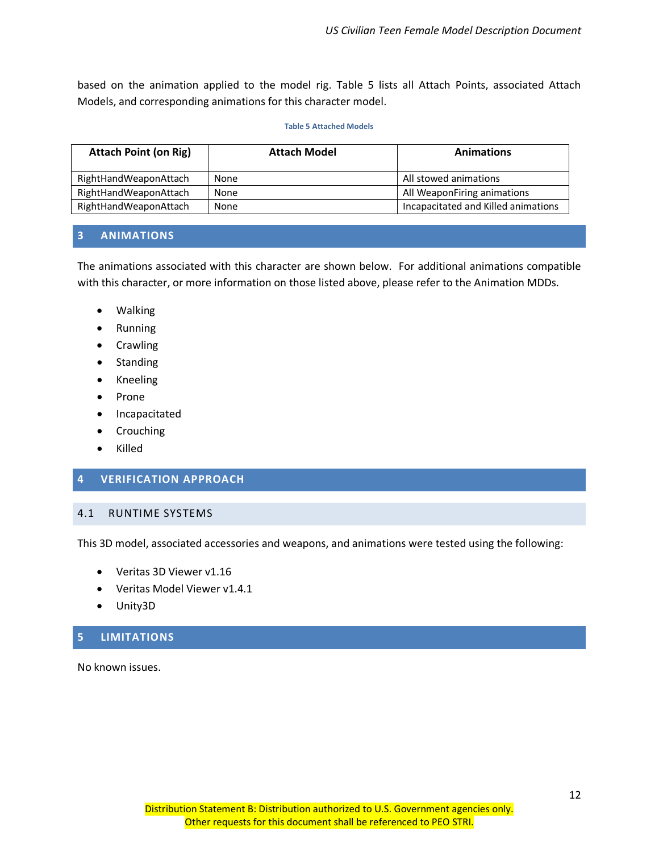based on the animation applied to the model rig. Table 5 lists all Attach Points, associated Attach Models, and corresponding animations for this character model.

#### **Table 5 Attached Models**

<span id="page-15-4"></span>

| <b>Attach Point (on Rig)</b> | <b>Attach Model</b> | <b>Animations</b>                   |
|------------------------------|---------------------|-------------------------------------|
| RightHandWeaponAttach        | None                | All stowed animations               |
| RightHandWeaponAttach        | <b>None</b>         | All WeaponFiring animations         |
| RightHandWeaponAttach        | None                | Incapacitated and Killed animations |

#### <span id="page-15-0"></span>**3 ANIMATIONS**

The animations associated with this character are shown below. For additional animations compatible with this character, or more information on those listed above, please refer to the Animation MDDs.

- Walking
- Running
- Crawling
- Standing
- Kneeling
- Prone
- Incapacitated
- Crouching
- Killed

## <span id="page-15-1"></span>**4 VERIFICATION APPROACH**

#### <span id="page-15-2"></span>4.1 RUNTIME SYSTEMS

This 3D model, associated accessories and weapons, and animations were tested using the following:

- Veritas 3D Viewer v1.16
- Veritas Model Viewer v1.4.1
- Unity3D

## <span id="page-15-3"></span>**5 LIMITATIONS**

No known issues.